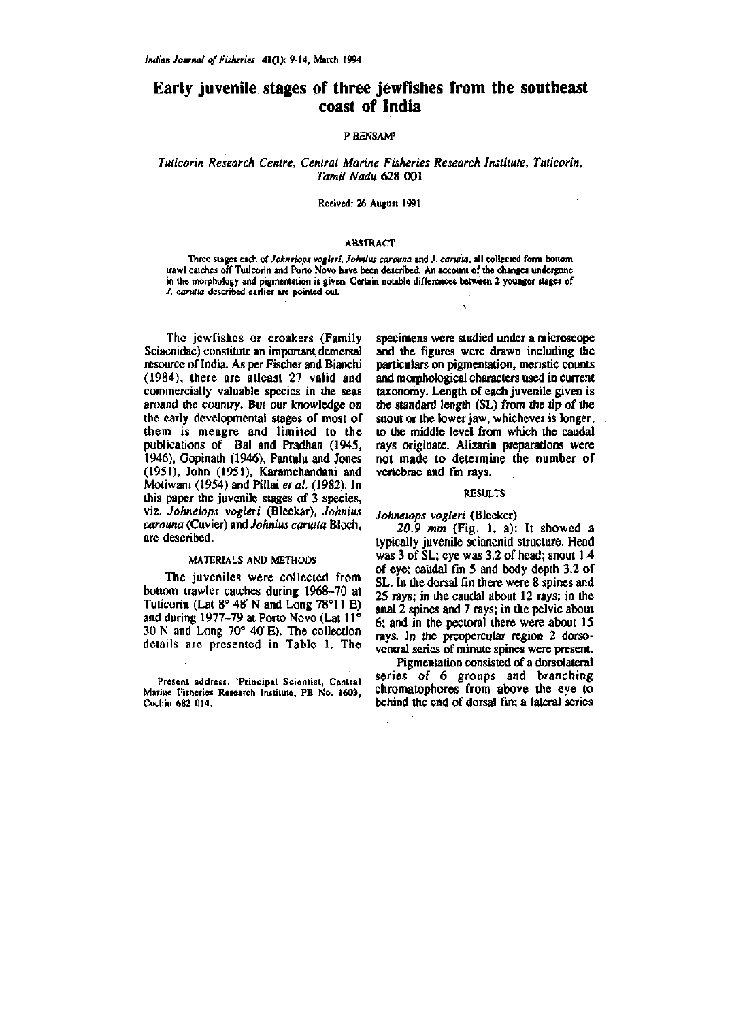## **Early juvenile stages of three jewfishes from the southeast coast of India**

## **P BENSAM'**

# *Tuticorin Research Centre, Central Marine Fisheries Research Institute, Tuticorin, Tamil Nadu* 628 001

#### **Rceived: 26 August 1991**

#### **ABSTRACT**

**Three stages each of** *Johneiops vogleri, Johnius carouna* **and /.** *carulta,* **all collected form bottom trawl catches off Tuticorin and Pono Novo have been described. An account of the changes undergone in the morphology and pigmentation is given. Certain notable differences between 2 younger stages of**  *J. carulta* **described earlier are pointed out.** 

The jewfishes or croakers (Family Sciacnidae) constitute an important demersal resource of India. As per Fischer and Bianchi (1984), there are atleast 27 valid and commercially valuable species in the seas around the country. But our knowledge on the early developmental stages of most of them is meagre and limited to the publications of Bal and Pradhan (1945, 1946), Gopinath (1946), Pantulu and Jones (1951), John (1951), Karamchandani and Motiwani (1954) and Pillai *et al.* (1982). In this paper the juvenile stages of 3 species, viz. *Johneiops vogleri* (Bleekar), *Johnius carouna* (Cuvier) and *Johnius carutta* Bloch, are described.

### **MATERIALS AND METHODS**

The juveniles were collected from bottom trawler catches during 1968-70 at Tuticorin (Lat  $8^{\circ}$  48' N and Long 78°11'E) and during 1977-79 at Porto Novo (Lat 11° 30 N and Long 70° 40 E). The collection details are presented in Table 1. The

specimens were studied under a microscope and the figures were drawn including the particulars on pigmentation, meristic counts and morphological characters used in current taxonomy. Length of each juvenile given is the standard length  $(SL)$  from the tip of the snout or the lower jaw, whichever is longer, to the middle level from which the caudal rays originate. Alizarin preparations were not made to determine the number of vertebrae and fin rays.

#### **RESULTS**

*Johneiops vogleri* (Bleeker)

*20.9 mm* (Fig. 1. a): It showed a typically juvenile scianenid structure. Head was 3 of SL; eye was 3.2 of head; snout 1.4 of eye; caudal fin 5 and body depth 3.2 of SL. In the dorsal fin there were 8 spines and 25 rays; in the caudal about 12 rays; in the anal 2 spines and 7 rays; in the pelvic about 6; and in the pectoral there were about 15 rays. In the preopercular region 2 dorsoventral series of minute spines were present.

Pigmentation consisted of a dorsolateral series of 6 groups and branching chromatophores from above the eye to behind the end of dorsal fin; a lateral series

**Present address: 'Principal Scientist, Central Marine Fisheries Research Institute, PB No. 1603, Cothin 682 014.**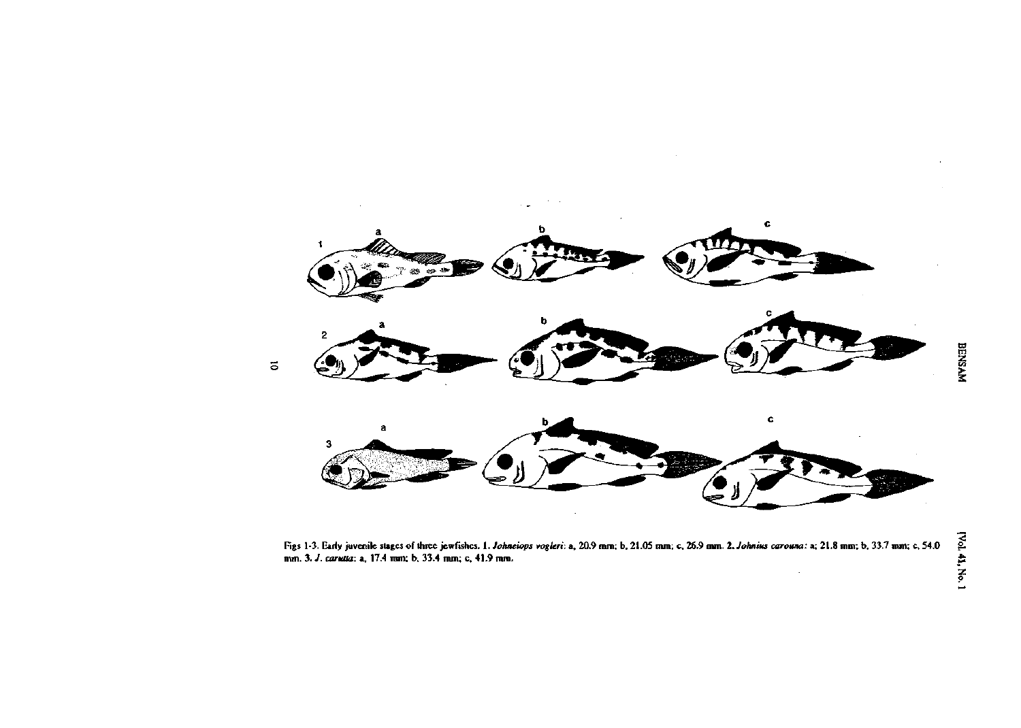

**Figs 1-3. Early juvenile stages of thiee jewfishcs.** *\. Johneiops vogleri:* **a, 20.9 mm; b, 21.05 mm; c, 26.9 mm.** *l.Johnius carouna:* **a; 21.8 mm; b, 33.7 mm; c, 54.0 mm. 3.** *J. caruaa:* **a, 17.4 ram; b, 33.4 mm; c, 41.9 mm.**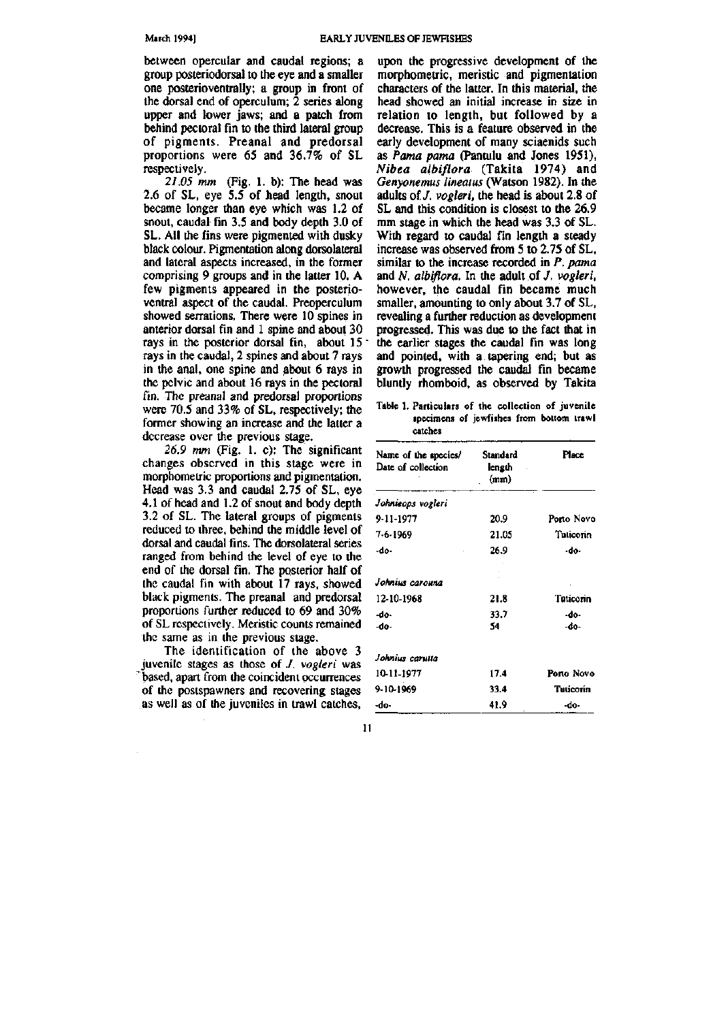between opercular and caudal regions; a group posteriodorsal to the eye and a smaller one posterioventrally; a group in front of the dorsal end of operculum; 2 series along upper and lower jaws; and a patch from behind pectoral fin to the third lateral group of pigments. Preanal and predorsal proportions were 65 and 36.7% of SL respectively.

*21.05 mm* (Fig. 1. b): The head was 2.6 of SL, eye 5.5 of head length, snout became longer than eye which was 1.2 of snout, caudal fin 3.5 and body depth 3.0 of SL. All the fins were pigmented with dusky black colour. Pigmentation along dorsolateral and lateral aspects increased, in the former comprising 9 groups and in the latter 10. A few pigments appeared in the posterioventral aspect of the caudal. Preoperculum showed serrations. There were 10 spines in anterior dorsal fin and 1 spine and about 30 rays in the posterior dorsal fin, about 15" rays in the caudal, 2 spines and about 7 rays in the anal, one spine and about 6 rays in the pelvic and about 16 rays in the pectoral fin. The preanal and predorsal proportions were 70.5 and 33% of SL, respectively; the former showing an increase and the latter a decrease over the previous stage.

*26.9 mm* (Fig. 1. c): The significant changes observed in this stage were in morphomeiric proportions and pigmentation. Head was 3.3 and caudal 2.75 of SL, eye 4.1 of head and 1.2 of snout and body depth 3.2 of SL. The lateral groups of pigments reduced to three, behind the middle level of dorsal and caudal fins. The dorsolateral series ranged from behind the level of eye to the end of the dorsal fin. The posterior half of the caudal fin with about 17 rays, showed black pigments. The preanal and predorsal proportions further reduced to 69 and 30% of SL respectively. Meristic counts remained the same as in the previous stage.

The identification of the above 3 juvenile stages as those of /. *vogleri* was based, apart from the coincident occurrences of the postspawners and recovering stages as well as of the juveniles in trawl catches.

upon the progressive development of the morphometric, meristic and pigmentation characters of the latter. In this material, the head showed an initial increase in size in relation to length, but followed by a decrease. This is a feature observed in the early development of many sciaenids such as *Pama pama* (Pantulu and Jones 1951), *Nibea albiflora* (Takita 1974) and *Genyonemus lineatus* (Watson 1982). In the adults of /. *vogleri,* the head is about 2.8 of SL and this condition is closest to the 26.9 mm stage in which the head was 3.3 of SL. With regard to caudal fin length a steady increase was observed from 5 to 2.75 of SL, similar to the increase recorded in *P. pama*  and *N. albiflora*. In the adult of *J. vogleri*, however, the caudal fin became much smaller, amounting to only about 3.7 of SL, revealing a further reduction as development progressed. This was due to the fact that in the earlier stages the caudal fin was long and pointed, with a tapering end; but as growth progressed the caudal fin became bluntly rhomboid, as observed by Takita

**Table 1. Particulars of the collection of juvenile specimens of jewfishes from bottom trawl catches** 

| Name of the species/<br>Date of collection | Standard<br>length<br>(mm) | Place        |
|--------------------------------------------|----------------------------|--------------|
| Johnieops vogleri                          |                            |              |
| 9-11-1977                                  | 20.9                       | Porto Novo   |
| 7-6-1969                                   | 21.05                      | Tuticorin    |
| -do-                                       | 26.9                       | -do-         |
| Johnius carouna                            |                            |              |
| 12-10-1968                                 | 21.8                       | Tuticorin    |
| -do-<br>-do-                               | 33.7<br>54                 | -do-<br>-do- |
| Johnius carutta                            |                            |              |
| 10-11-1977                                 | 17.4                       | Porto Novo   |
| 9-10-1969                                  | 33.4                       | Tuticorin    |
| -do-                                       | 41.9                       | -do-         |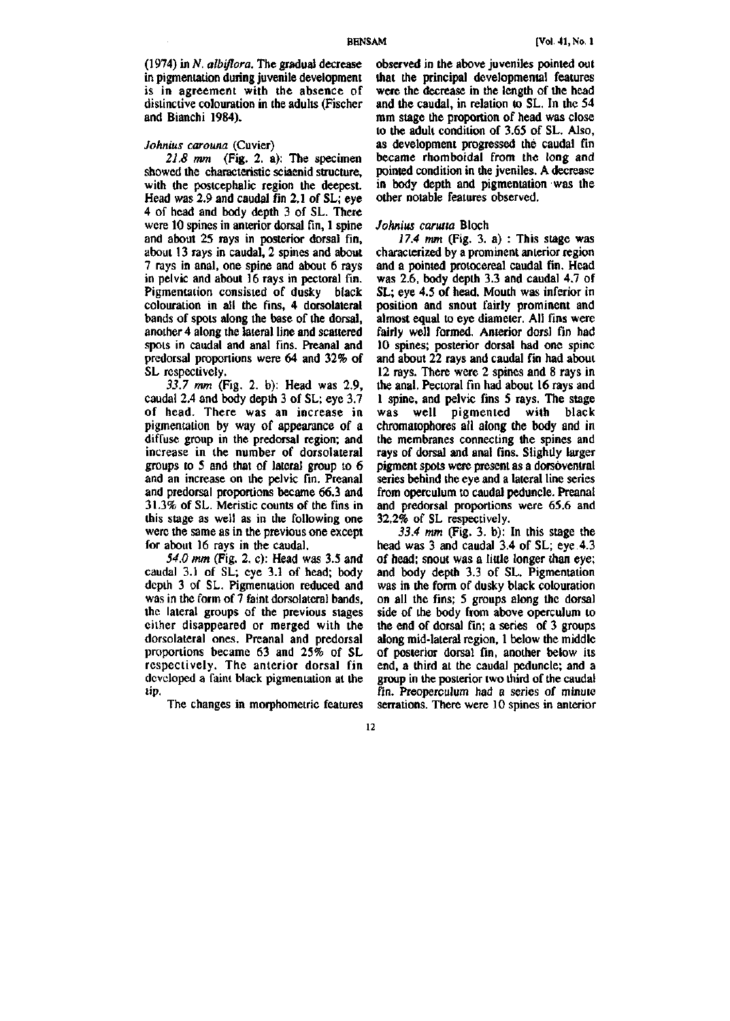(1974) in *N. albiflora.* The gradual decrease in pigmentation during juvenile development is in agreement with the absence of distinctive colouration in the adults (Fischer and Bianchi 1984).

#### *Johnius carouna* (Cuvier)

*21.8 mm* (Fig. 2. a): The specimen showed the characteristic sciaenid structure, with the postcephalic region the deepest. Head was 2.9 and caudal fin 2.1 of SL; eye 4 of head and body depth 3 of SL. There were 10 spines in anterior dorsal fin, 1 spine and about 25 rays in posterior dorsal fin, about 13 rays in caudal, 2 spines and about 7 rays in anal, one spine and about 6 rays in pelvic and about 16 rays in pectoral fin. Pigmentation consisted of dusky black colouration in all the fins, 4 dorsolateral bands of spots along the base of the dorsal, another 4 along the lateral line and scattered spots in caudal and anal fins. Preanal and predorsal proportions were 64 and 32% of SL respectively.

*33.7 mm* (Fig. 2. b): Head was 2.9, caudal 2.4 and body depth 3 of SL; eye 3.7 of head. There was an increase in pigmentation by way of appearance of a diffuse group in the predorsal region; and increase in the number of dorsolateral groups to 5 and that of lateral group to 6 and an increase on the pelvic fin. Preanal and predorsal proportions became 66.3 and 31.3% of SL. Meristic counts of the fins in this stage as well as in the following one were the same as in the previous one except for about 16 rays in the caudal.

*54.0 mm* (Fig. 2. c): Head was 3.5 and caudal 3.1 of SL; eye 3.1 of head; body depth 3 of SL. Pigmentation reduced and was in the form of 7 faint dorsolateral bands, the lateral groups of the previous suges either disappeared or merged with the dorsolateral ones. Preanal and predorsal proportions became 63 and 25% of SL respectively. The anterior dorsal fin developed a faint black pigmentation at the tip.

The changes in morphometric features

observed in the above juveniles pointed out that the principal developmental features were the decrease in the length of the head and the caudal, in relation to SL. In the 54 mm stage the proportion of head was close to the adult condition of 3.65 of SL. Also, as development progressed the caudal fin became rhomboidal from the long and pointed condition in the jveniles. A decrease in body depth and pigmentation was the other notable features observed.

### *Johnius carutta* Bloch

*17.4 mm* (Fig. 3. a) : This stage was characterized by a prominent anterior region and a pointed protocereal caudal fin. Head was 2.6, body depth 3.3 and caudal 4.7 of SL; eye 4.5 of head. Mouth was inferior in position and snout fairly prominent and almost equal to eye diameter. All fins were fairly well formed. Anterior dorsl fin had 10 spines; posterior dorsal had one spine and about 22 rays and caudal fin had about 12 rays. There were 2 spines and 8 rays in the anal. Pectoral fin had about 16 rays and 1 spine, and pelvic fins 5 rays. The stage was well pigmented with black chromatophores all along the body and in the membranes connecting the spines and rays of dorsal and anal fins. Slightly larger pigment spots were present as a dorsoventral series behind the eye and a lateral line series from operculum to caudal peduncle. Preanal and predorsal proportions were 65.6 and 32.2% of SL respectively.

*33.4 mm* (Fig. 3. b): In this stage the head was 3 and caudal 3.4 of SL; eye 4.3 of head; snout was a little longer than eye; and body depth 3.3 of SL. Pigmentation was in the form of dusky black colouration on all the fins; 5 groups along the dorsal side of the body from above operculum to the end of dorsal fin; a series of 3 groups along mid-lateral region, 1 below the middle of posterior dorsal fin, another below its end, a third at the caudal peduncle; and a group in the posterior two third of the caudal fin. Preoperculum had a series of minute serrations. There were 10 spines in anterior

**12**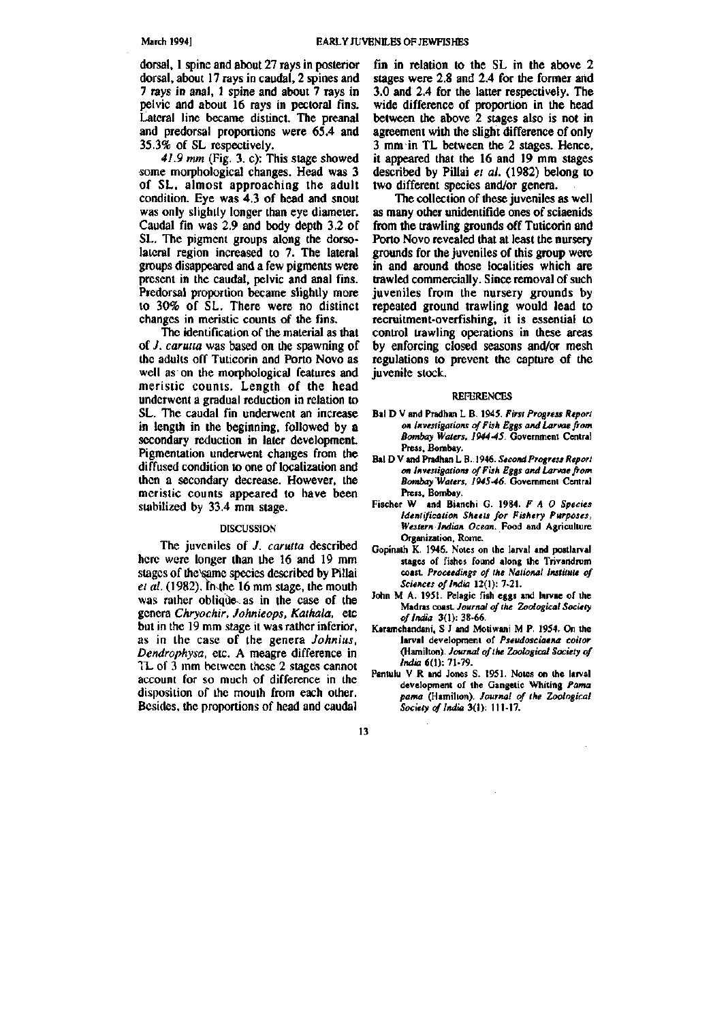dorsal, 1 spine and about 27 rays in posterior dorsal, about 17 rays in caudal, 2 spines and 7 rays in anal, 1 spine and about 7 rays in pelvic and about 16 rays in pectoral fins. Lateral line became distinct. The preanal and predorsal proportions were 65.4 and 35.3% of SL respectively.

*41.9 mm* (Fig. 3. c): This stage showed some morphological changes. Head was 3 of SL, almost approaching the adult condition. Eye was 4.3 of head and snout was only slightly longer than eye diameter. Caudal fin was 2.9 and body depth 3.2 of SL. The pigment groups along the dorsolateral region increased to 7. The lateral groups disappeared and a few pigments were present in the caudal, pelvic and anal fins. Predorsal proportion became slightly more to 30% of SL. There were no distinct changes in meristic counts of the fins.

The identification of the material as that of./. *carutla* was based on the spawning of the adults off Tuticorin and Porto Novo as well as on the morphological features and meristic counts. Length of the head underwent a gradual reduction in relation to SL. The caudal fin underwent an increase in length in the beginning, followed by a secondary reduction in later development. Pigmentation underwent changes from the diffused condition to one of localization and then a secondary decrease. However, the meristic counts appeared to have been stabilized by 33.4 mm stage.

#### **DISCUSSION**

The juveniles of *J. carutta* described here were longer than the 16 and 19 mm stages of the same species described by Pillai *el al.* (1982). in-the 16 mm stage, the mouth was rather oblique as in the case of the genera *Chryochir, Johnieops, Kathala,* etc but in the 19 mm stage it was rather inferior, as in the case of the genera *Johnius, Dendrophysa,* etc. A meagre difference in TL of 3 mm between these 2 stages cannot account for so much of difference in the disposition of the mouth from each other. Besides, the proportions of head and caudal

fin in relation to the SL in the above 2 stages were 2.8 and 2.4 for the former arid 3.0 and 2.4 for the latter respectively. The wide difference of proportion in the head between the above 2 stages also is not in agreement with the slight difference of only 3 mm in TL between the 2 stages. Hence, it appeared that the 16 and 19 mm stages described by Pillai *et al.* (1982) belong to two different species and/or genera.

The collection of these juveniles as well as many other unidentifide ones of sciaenids from the trawling grounds off Tuticorin and Porto Novo revealed that at least the nursery grounds for the juveniles of this group were in and around those localities which are trawled commercially. Since removal of such juveniles from the nursery grounds by repeated ground trawling would lead to recruitment-overfishing, it is essential to control trawling operations in these areas by enforcing closed seasons and/or mesh regulations to prevent the capture of the juvenile stock.

#### **REFERENCES**

- **Bal D V and Pradhan L B. 1945.** *First Progress Report on Investigations offish Eggs and Larvae from Bombay Waters, 1944-45.* **Goverranent Central Press, Bombay.**
- **Bal D V and Pradhan L B. 1946.** *Second Progress Report on Investigations of Fish Eggs and Larvae from Bombay Waters, 1945-46.* **Government Central Press, Bombay.**
- **Fischer W and Bianchi G. 1984.** *F A O Species Identification Sheets for Fishery Purposes, Western Indian Ocean.* **Food and Agriculture Organization, Rome.**
- **Gopinath K. 1945. Notes on the larval and postlarval stages of fishes found along the Trivandrum coast.** *Proceedings of the National Institute of Sciences of India* **12(1): 7-21.**
- **John M A. 1951. Pelagic fish eggs and larvae of the Madras coast.** *Journal of the Zoological Society of India* **3(1): 38-66.**
- **Karamchandani, S J and Motiwani M P. 1954. On the larval development of** *Pseudosciaena coilor*  **(Hamilton).** *Journal of the Zoological Society of India* **6(1): 71-79.**
- **Pantulu V R and Jones S. 1951. Notes on the larval development of the Gangetic Whiting** *Panut pama* **(Hamilton).** *Journal of the Zoological Society etf India 3(1):* **111-17.**